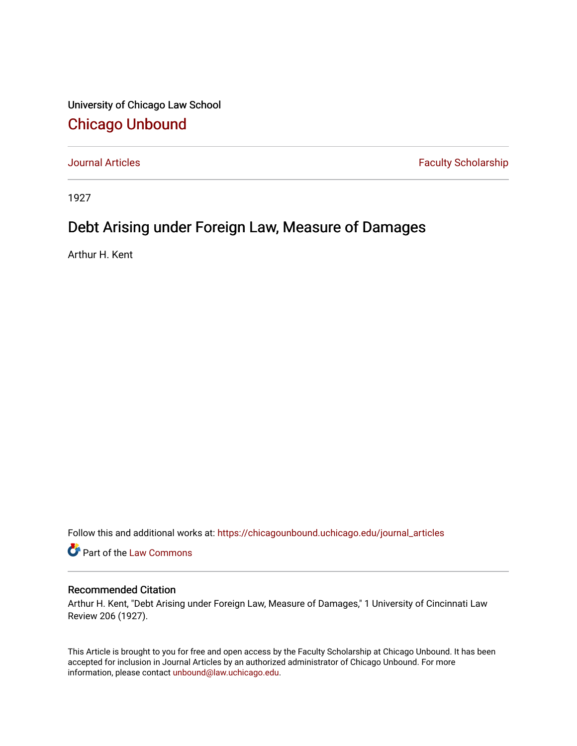University of Chicago Law School [Chicago Unbound](https://chicagounbound.uchicago.edu/)

[Journal Articles](https://chicagounbound.uchicago.edu/journal_articles) **Faculty Scholarship Faculty Scholarship** 

1927

# Debt Arising under Foreign Law, Measure of Damages

Arthur H. Kent

Follow this and additional works at: [https://chicagounbound.uchicago.edu/journal\\_articles](https://chicagounbound.uchicago.edu/journal_articles?utm_source=chicagounbound.uchicago.edu%2Fjournal_articles%2F9060&utm_medium=PDF&utm_campaign=PDFCoverPages) 

Part of the [Law Commons](http://network.bepress.com/hgg/discipline/578?utm_source=chicagounbound.uchicago.edu%2Fjournal_articles%2F9060&utm_medium=PDF&utm_campaign=PDFCoverPages)

## Recommended Citation

Arthur H. Kent, "Debt Arising under Foreign Law, Measure of Damages," 1 University of Cincinnati Law Review 206 (1927).

This Article is brought to you for free and open access by the Faculty Scholarship at Chicago Unbound. It has been accepted for inclusion in Journal Articles by an authorized administrator of Chicago Unbound. For more information, please contact [unbound@law.uchicago.edu](mailto:unbound@law.uchicago.edu).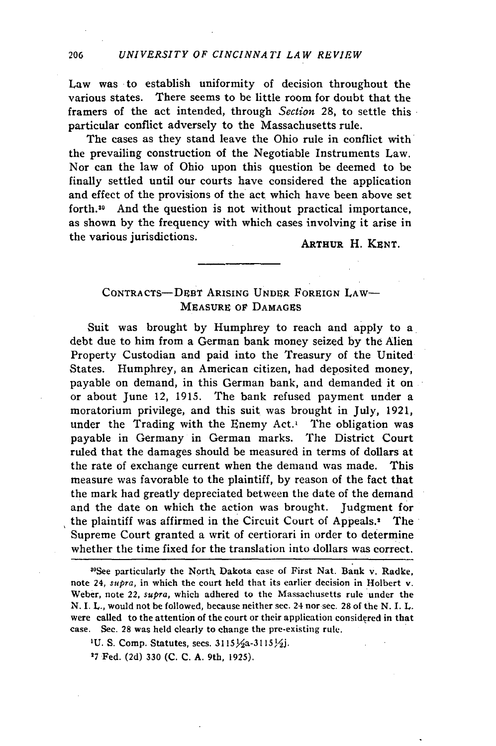Law was to establish uniformity of decision throughout the various states. There seems to be little room for doubt that the framers of the act intended, through *Section* 28, to settle this particular conflict adversely to the Massachusetts rule.

The cases as they stand leave the Ohio rule in conflict with the prevailing construction of the Negotiable Instruments Law. Nor can the law of Ohio upon this question be deemed to be finally settled until our courts have considered the application and effect of the provisions of the act which have been above set forth.<sup>30</sup> And the question is not without practical importance, as shown by the frequency with which cases involving it arise in the various jurisdictions. ARTHUR H. KENT.

### CONTRACTS-DEBT **ARISING UNDER** FOREIGN LAW-**MEASURE OF DAMAGES**

Suit was brought **by** Humphrey to reach and apply to a debt due to him from a German bank money seized **by** the Alien Property Custodian and paid into the Treasury of the United States. Humphrey, an American citizen, had deposited money, payable on demand, in this German bank, and demanded it on or about June 12, 1915. The bank refused payment under a moratorium privilege, and this suit was brought in July, 1921, under the Trading with the Enemy Act. $\iota$  The obligation was payable in Germany in German marks. The District Court ruled that the damages should be measured in terms of dollars at the rate of exchange current when the demand was made. This measure was favorable to the plaintiff, by reason of the fact that the mark had greatly depreciated between the date of the demand and the date on which the action was brought. Judgment for the plaintiff was affirmed in the Circuit Court of Appeals.<sup>1</sup> The Supreme Court granted a writ of certiorari in order to determine whether the time fixed for the translation into dollars was correct.

3 °See particularly the North. Dakota case of First Nat. Bank v. Radke, note 24, *supra,* in which the court held that its earlier decision in Holbert v. Weber, note 22, *supra,* which adhered to the Massachusetts rule under the **N.** I. *L.,* would not be followed, because neither sec. 24 nor sec. 28 of the **N.** I. L. were called to the attention of the court or their application considered in that case. See. **28** was held clearly to change the pre-existing rule.

**1U.** S. Comp. Statutes, secs. **3ll5)/a-31lS,1/j.**

**27** Fed. (2d) **330 (C. C. A.** 9th, 1925).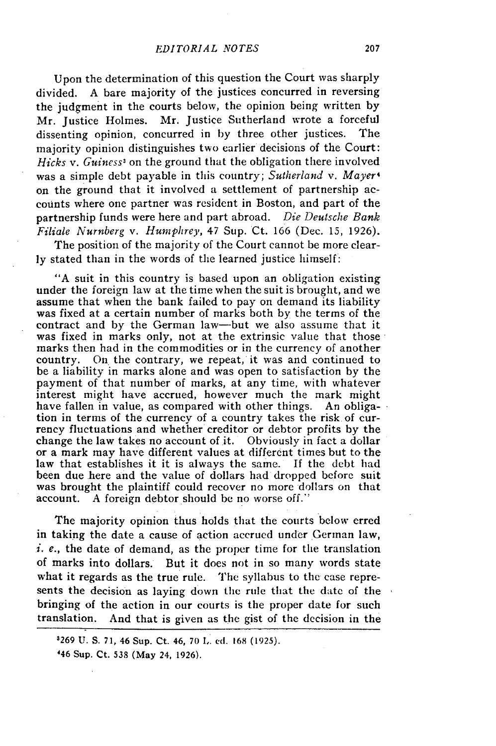Upon the determination of this question the Court was sharply divided. A bare majority of the justices concurred in reversing the judgment in the courts below, the opinion being written by Mr. Justice Holmes. Mr. Justice Sutherland wrote a forceful dissenting opinion, concurred in by three other justices. The majority opinion distinguishes two earlier decisions of the Court: *Hicks v. Guiness3* on the ground that the obligation there involved was a simple debt payable in this country; *Sutherland v. Mayer'* on the ground that it involved a settlement of partnership accounts where one partner was resident in Boston, and part of the partnership funds were here and part abroad. *Die Deutsche Bank Filiale Nurnberg v. Humphrey,* 47 Sup. Ct. 166 (Dec. **13,** 1926).

The position of the majority of the Court cannot be more clearly stated than in the words of the learned justice himself:

"A suit in this country is based upon an obligation existing under the foreign law at the time when the suit is brought, and we assume that when the bank failed to pay on demand its liability was fixed at a certain number of marks both by the terms of the contract and by the German law-but we also assume that it was fixed in marks only, not at the extrinsic value that those marks then had in the commodities or in the currency of another country. On the contrary, we repeat, it was and continued to be a liability in marks alone and was open to satisfaction by the payment of that number of marks, at any time, with whatever interest might have accrued, however much the mark might have fallen in value, as compared with other things. An obligation in terms of the currencv of a country takes the risk of currency fluctuations and whether creditor or debtor profits by the change the law takes no account of it. Obviously in fact a dollar or a mark may have different values at different times but to the law that establishes it it is always the same. If the debt had been due here and the value of dollars had dropped before suit was brought the plaintiff could recover no more dollars on that account. A foreign debtor should be no worse off."

The majority opinion thus holds that the courts below erred in taking the date a cause of action accrued under German law, i. *e.,* the date of demand, as the proper time for the translation of marks into dollars. But it does not in so many words state what it regards as the true rule. The syllabus to the case represents the decision as laying down the rule that the date of the bringing of the action in our courts is the proper date for such translation. And that is given as the gist of the decision in the

<sup>3269</sup> **U.** S. **71,** 46 Sup. Ct. *46,* 70 I,. ed. **168** (1925).

<sup>&#</sup>x27;46 Sup. Ct. 538 (May 24, 1926).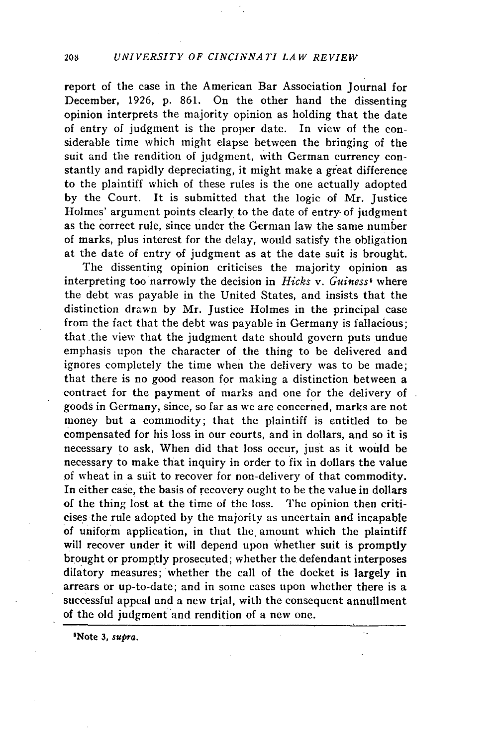report of the case in the American Bar Association Journal for December, 1926, p. 861. On the other hand the dissenting opinion interprets the majority opinion as holding that the date of entry of judgment is the proper date. In view of the considerable time which might elapse between the bringing of the suit and the rendition of judgment, with German currency constantly and rapidly depreciating, it might make a great difference to the plaintiff which of these rules is the one actually adopted by the Court. It is submitted that the logic of Mr. Justice Holmes' argument points clearly to the date of entry of judgment as the correct rule, since under the German law the same number of marks, plus interest for the delay, would satisfy the obligation at the date of entry of judgment as at the date suit is brought.

The dissenting opinion criticises the majority opinion as interpreting too narrowly the decision in *Hicks v. Guiness<sup>5</sup>* where the debt was payable in the United States, and insists that the distinction drawn by Mr. Justice Holmes in the principal case from the fact that the debt was payable in Germany is fallacious; that.the view that the judgment date should govern puts undue emphasis upon the character of the thing to be delivered and ignores completely the time when the delivery was to be made; that there is no good reason for making a distinction between a contract for the payment of marks and one for the delivery of goods in Germany, since, so far as we are concerned, marks are not money but a commodity; that the plaintiff is entitled to be compensated for his loss in our courts, and in dollars, and so it is necessary to ask, When did that loss occur, just as it would be necessary to make that inquiry in order to fix in dollars the value of wheat in a suit to recover for non-delivery of that commodity. In either case, the basis of recovery ought to be the value in dollars of the thing lost at the time of the loss. The opinion then criticises the rule adopted by the majority as uncertain and incapable of uniform application, in that the. amount which the plaintiff will recover under it will depend upon whether suit is promptly brought or promptly prosecuted; whether the defendant interposes dilatory measures; whether the call of the docket is largely in arrears or up-to-date; and in some cases upon whether there is a successful appeal and a new trial, with the consequent annullment of the old judgment and rendition of a new one.

 $\ddotsc$ 

5Note **3,** *supra.*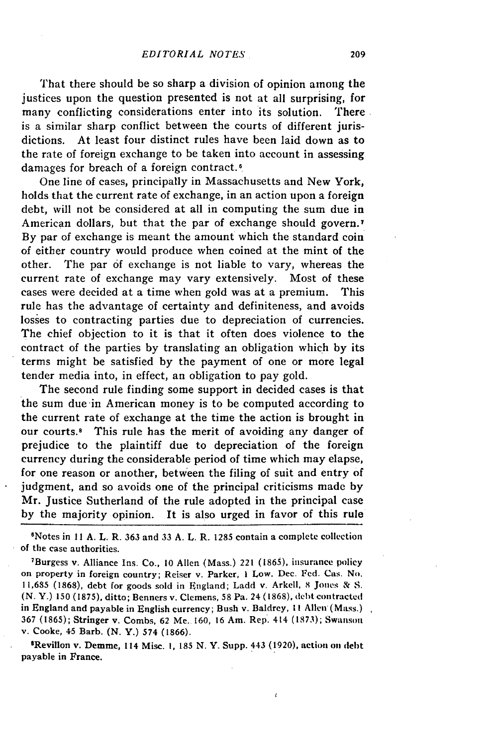That there should be so sharp a division of opinion among the justices upon the question presented is not at all surprising, for many conflicting considerations enter into its solution. There is a similar sharp conflict between the courts of different jurisdictions. At least four distinct rules have been laid down as to the rate of foreign exchange to be taken into account in assessing damages for breach of a foreign contract.<sup>6</sup>

One line of cases, principally in Massachusetts and New York, holds that the current rate of exchange, in an action upon a foreign debt, will not be considered at all in computing the sum due in American dollars, but that the par of exchange should govern.<sup>7</sup> By par of exchange is meant the amount which the standard coin of either country would produce when coined at the mint of the other. The par **of** exchange is not liable to vary, whereas the current rate of exchange may vary extensively. Most of these cases were decided at a time when gold was at a premium. This rule has the advantage of certainty and definiteness, and avoids losses to contracting parties due to depreciation of currencies. The chief objection to it is that it often does violence to the contract of the parties by translating an obligation which by its terms might be satisfied by the payment of one or more legal tender media into, in effect, an obligation to pay gold.

The second rule finding some support in decided cases is that the sum due in American money is to be computed according to the current rate of exchange at the time the action is brought in our courts.<sup>8</sup> This rule has the merit of avoiding any danger of prejudice to the plaintiff due to depreciation of the foreign currency during the considerable period of time which may elapse, for one reason or another, between the filing of suit and entry of judgment, and so avoids one of the principal criticisms made by Mr. Justice Sutherland of the rule adopted in the principal case by the majority opinion. It is also urged in favor of this rule

6 Notes in **II A.** L. R. **363** and **33 A.** L. R. 1285 contain a complete collection of the case authorities.

7 Burgess v. Alliance Ins. Co., 10 Allen (Mass.) 221 (1865), insurance policy on property in foreign country; Reiser v. Parker, **I** Low. Dec. Fed. Cas. **No.** 11,685 (1868), debt for goods sold in England; Ladd v. Arkell, 8 Jones & S. (N. Y.) 150 (1875), ditto; Benners v. Clemens, 58 Pa. 24 (1868), debt contracted in England and payable in English currency; Bush v. Baldrey, **II** Allen (Mass.) 367 (1865); Stringer v. Combs, 62 Me. 160, 16 Am. Rep. 414 **(1873);** Swanson v. Cooke, 45 Barb. (N. Y.) 574 (1866).

<sup>8</sup>Revillon v. Demme, 114 Misc. 1, 185 N. Y. Supp. 443 (1920), action on debt payable in France.

ċ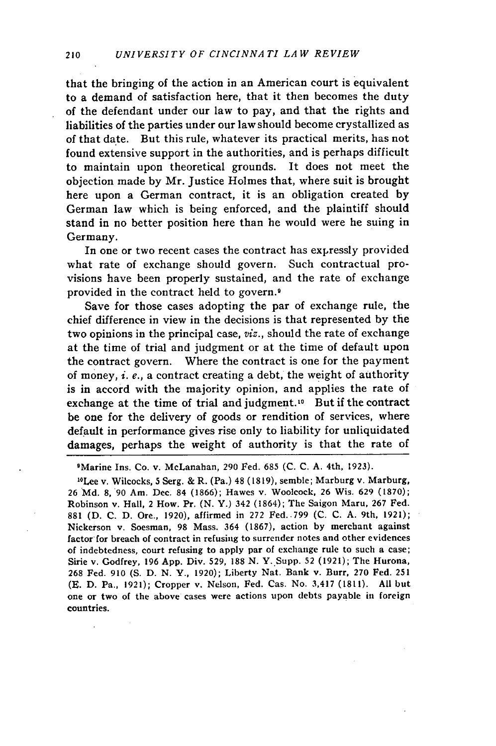that the bringing of the action in an American court is equivalent to a demand of satisfaction here, that it then becomes the duty of the defendant under our law to pay, and that the rights and liabilities of the parties under our law should become crystallized as of that date. But this rule, whatever its practical merits, has not found extensive support in the authorities, and is perhaps difficult to maintain upon theoretical grounds. It does not meet the objection made by Mr. Justice Holmes that, where suit is brought here upon a German contract, it is an obligation created by German law which is being enforced, and the plaintiff should stand in no better position here than he would were he suing in Germany.

In one or two recent cases the contract has expressly provided what rate of exchange should govern. Such contractual provisions have been properly sustained, and the rate of exchange provided in the contract held to govern.<sup>9</sup>

Save for those cases adopting the par of exchange rule, the chief difference in view in the decisions is that represented by the two opinions in the principal case, viz., should the rate of exchange at the time of trial and judgment or at the time of default upon the contract govern. Where the contract is one for the payment of money, *i.* e., a contract creating a debt, the weight of authority is in accord with the majority opinion, and applies the rate of exchange at the time of trial and judgment.<sup>10</sup> But if the contract be one for the delivery of goods or rendition of services, where default in performance gives rise only to liability for unliquidated damages, perhaps the weight of authority is that the rate of

9 Marine Ins. Co. v. McLanahan, 290 Fed. 685 **(C. C.** A. 4th, 1923).

10 Lee v. Wilcocks, 5 Serg. & R. (Pa.) 48 (1819), semble; Marburg v. Marburg, 26 Md. 8, 90 Am. Dec. 84 (1866); Hawes v. Woolcock, 26 Wis. 629 (1870); Robinson v. Hall, 2 How. Pr. (N. Y.) 342 (1864); The Saigon Maru, 267 Fed. 881 **(D. C.** D. Ore., 1920), affirmed in 272 Fed. .799 **(C.** C. A. 9th, 1921); Nickerson v. Soesman, 98 Mass. 364 (1867), action by merchant against factor for breach of contract in refusing to surrender notes and other evidences of indebtedness, court refusing to apply par of exchange rule to such a case; Sirie v. Godfrey, 196 App. Div. 529, 188 N. Y..Supp. 52 (1921); The Hurona, 268 Fed. 910 (S. D. N. Y., 1920); Liberty Nat. Bank v. Burr, **270** Fed. 251 **(H.** D. Pa., 1921); Cropper v. Nelson, Fed. Cas. No. 3,417 (1811). All but one or two of the above cases were actions upon debts payable in foreign countries.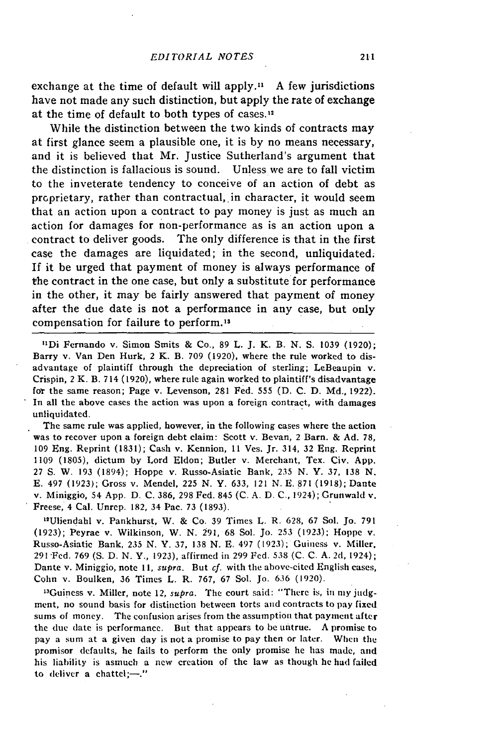exchange at the time of default will apply." A few jurisdictions have not made any such distinction, but apply the rate of exchange at the time of default to both types of cases.<sup>12</sup>

While the distinction between the two kinds of contracts may at first glance seem a plausible one, it is by no means necessary, and it is believed that Mr. Justice Sutherland's argument that the distinction is fallacious is sound. Unless we are to fall victim to the inveterate tendency to conceive of an action of debt as proprietary, rather than contractual, in character, it would seem that an action upon a contract to pay money is just as much an action for damages for non-performance as is an action upon a contract to deliver goods. The only difference is that in the first case the damages are liquidated; in the second, unliquidated. If it be urged that payment of money is always performance of the contract in the one case, but only a substitute for performance in the other, it may be fairly answered that payment of money after the due date is not a performance in any case, but only compensation for failure to perform.13

"'Di Fernando v. Simon Smits & Co., 89 L. J. K. B. N. **S.** 1039 (1920); Barry v. Van Den Hurk, 2 K. B. 709 (1920), where the rule worked to disadvantage of plaintiff through the depreciation of sterling; LeBeaupin v. Crispin, 2 K. B. 714 (1920), where rule again worked to plaintiff's disadvantage **for** the same reason; Page v. Levenson, 281 Fed. 555 (D. C. D. Md., 1922). In all the above cases the action was upon a foreign contract, with damages unliquidated.

The same rule was applied, however, in the following cases where the action was to recover upon a foreign debt claim: Scott v. Bevan, 2 Barn. & Ad. 78, 109 Eng. Reprint (1831); Cash v. Kennion, 11 Ves. Jr. 314, 32 Eng. Reprint 1109 (1805), dictum by Lord Eldon; Butler v. Merchant, Tex. Civ. App. 27 **S.** W. 193 (1894); Hoppe v. Russo-Asiatic Bank, 235 N. Y. 37, 138 N. E. 497 (1923); Gross v. Mendel, 225 N. Y. 633, *121 N.* E. 871 (1918); Dante v. Miniggio, 54 App. D. C. 386, 298 Fed. 845 (C. A. D. C., 1924); Grunwald v. Freese, 4 Cal. Unrep. 182, 34 Pac. 73 (1893).

"Uliendahl v. Pankhurst, W. & Co. 39 Times L. R. 628, 67 Sol. Jo. 791 (1923); Peyrae v. Wilkinson, W. N. 291, 68 Sol. Jo. 253 (1923); Hoppe **v.** Russo-Asiatic Bank, **235** N. Y. **37, 138** N. E. 497 **(1923);** Guiness v. Miller, **291 Fed. 769 (S. D. N.** Y., **1923),** affirmed in **299** Fed. **538 (C. C. A.** 2d, 1924); Dante v. Miniggio, note **11,** *supra.* But *cf.* with the above-cited English cases, Cohn v. Boulken, **36** Times L. R. 767, **67** Sol. Jo. **636 (1920).**

'Guiness v. Miller, note 12, *supra.* The court said: "There is, in **my judg**ment, no sound basis for distinction between torts and contracts to pay fixed sums of money. The confusion arises from the assumption that payment after the due date is performance. But that appears to be untrue. A promise to pay a sum at a given day is not a promise to pay then or later. When the promisor defaults, he fails to perform the only promise he has made, and his liability is asmuch a new creation of the law as though he **had** failed to deliver a chattel;- $\frac{1}{1}$ "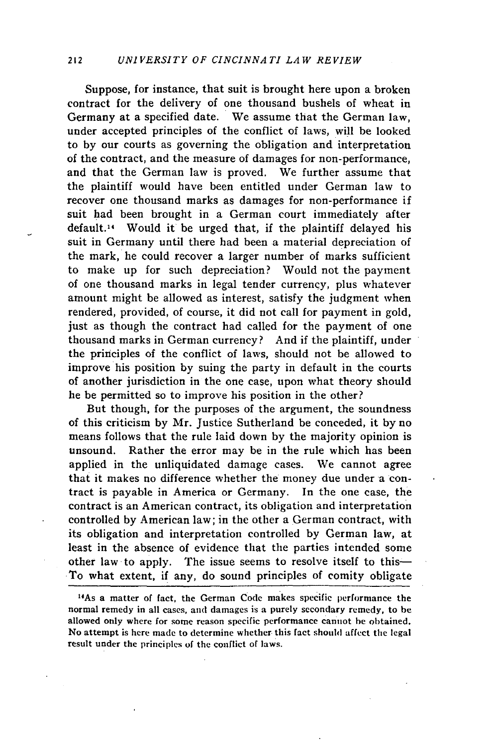#### 212 *UNI VERSITY OF CINCINNA TI LA W REVIEW*

Suppose, for instance, that suit is brought here upon a broken contract for the delivery of one thousand bushels of wheat in Germany at a specified date. We assume that the German law, under accepted principles of the conflict of laws, will be looked to by our courts as governing the obligation and interpretation of the contract, and the measure of damages for non-performance, and that the German law is proved. We further assume that the plaintiff would have been entitled under German law to recover one thousand marks as damages for non-performance if suit had been brought in a German court immediately after default. 14 Would it be urged that, if the plaintiff delayed his suit in Germany until there had been a material depreciation of the mark, he could recover a larger number of marks sufficient to make up for such depreciation? Would not the payment of one thousand marks in legal tender currency, plus whatever amount might be allowed as interest, satisfy the judgment when rendered, provided, of course, it did not call for payment in gold, just as though the contract had called for the payment of one thousand marks in German currency? And if the plaintiff, under the principles of the conflict of laws, should not be allowed to improve his position by suing the party in default in the courts of another jurisdiction in the one case, upon what theory should he be permitted so to improve his position in the other?

But though, for the purposes of the argument, the soundness of this criticism by Mr. Justice Sutherland be conceded, it by no means follows that the rule laid down by the majority opinion is unsound. Rather the error may be in the rule which has been applied in the unliquidated damage cases. We cannot agree that it makes no difference whether the money due under a contract is payable in America or Germany. In the one case, the contract is an American contract, its obligation and interpretation controlled by American law; in the other a German contract, with its obligation and interpretation controlled by German law, at least in the absence of evidence that the parties intended some other law to apply. The issue seems to resolve itself to this-.To what extent, if any, do sound principles of comity obligate

<sup>&</sup>lt;sup>14</sup>As a matter of fact, the German Code makes specific performance the normal remedy in all cases, **and** damages is a purely secondary remedy, to be allowed only where for some reason specific performance cannot **be** obtained. No attempt is here made to determine whether this fact should affect the legal result under the principles of the conflict of laws.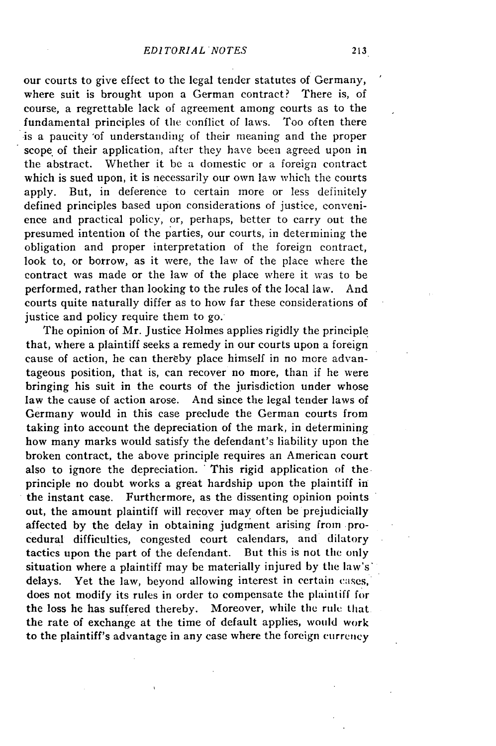our courts to give effect to the legal tender statutes of Germany, where suit is brought upon a German contract? There is, of course, a regrettable lack of agreement among courts as to the fundamental principles of the conflict of laws. Too often there -is a paucity 'of understanding of their meaning and the proper scope of their application, after they have been agreed upon in the abstract. Whether it be a domestic or a foreign contract which is sued upon, it is necessarily our own law which the courts apply. But, in deference to certain more or less definitely defined principles based upon considerations of justice, convenience and practical policy, or, perhaps, better to carry out the presumed intention of the parties, our courts, in determining the obligation and proper interpretation of the foreign contract, look to, or borrow, as it were, the law of the place where the contract was made or the law of the place where it was to be performed, rather than looking to the rules of the local law. And courts quite naturally differ as to how far these considerations of justice and policy require them to go.

The opinion of Mr. Justice Holmes applies rigidly the principle that, where a plaintiff seeks a remedy in our courts upon a foreign cause of action, he can thereby place himself in no more advantageous position, that is, can recover no more, than if he were bringing his suit in the courts of the jurisdiction under whose law the cause of action arose. And since the legal tender laws of Germany would in this case preclude the German courts from taking into account the depreciation of the mark, in determining how many marks would satisfy the defendant's liability upon the broken contract, the above principle requires an American court also to ignore the depreciation. "This rigid application of the principle no doubt works a great hardship upon the plaintiff in the instant case. Furthermore, as the dissenting opinion points out, the amount plaintiff will recover may often be prejudicially affected by the delay in obtaining judgment arising from procedural difficulties, congested court calendars, and dilatory tactics upon the part of the defendant. But this is not the only situation where a plaintiff may be materially injured by the law's' delays. Yet the law, beyond allowing interest in certain cases, does not modify its rules in order to compensate the plaintiff for the loss he has suffered thereby. Moreover, while the rule that the rate of exchange at the time of default applies, would work to the plaintiff's advantage in any case where the foreign currency